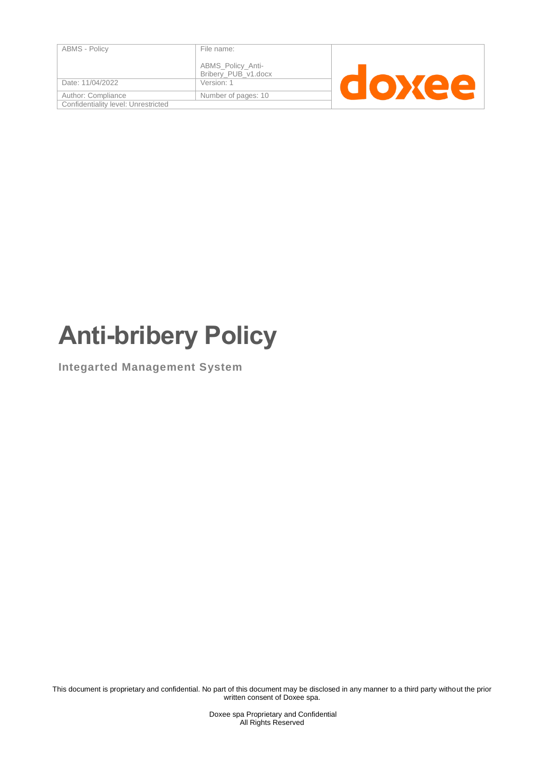| <b>ABMS - Policy</b>                | File name:                               |  |  |  |
|-------------------------------------|------------------------------------------|--|--|--|
|                                     | ABMS_Policy_Anti-<br>Bribery_PUB_v1.docx |  |  |  |
| Date: 11/04/2022                    | Version: 1                               |  |  |  |
| Author: Compliance                  | Number of pages: 10                      |  |  |  |
| Confidentiality level: Unrestricted |                                          |  |  |  |
|                                     |                                          |  |  |  |

# **Anti-bribery Policy**

**Integarted Management System**

This document is proprietary and confidential. No part of this document may be disclosed in any manner to a third party without the prior written consent of Doxee spa.

> Doxee spa Proprietary and Confidential All Rights Reserved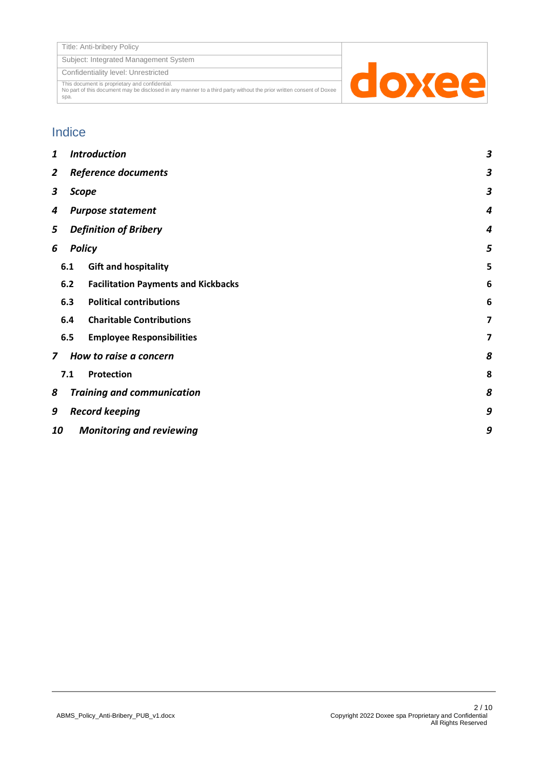Subject: Integrated Management System

Confidentiality level: Unrestricted

This document is proprietary and confidential. No part of this document may be disclosed in any manner to a third party without the prior written consent of Doxee spa.



#### Indice

| 1                                      |                                            | <b>Introduction</b> |                                            |   |
|----------------------------------------|--------------------------------------------|---------------------|--------------------------------------------|---|
| 2                                      | <b>Reference documents</b>                 |                     |                                            | з |
| 3                                      | <b>Scope</b>                               |                     |                                            | З |
| 4                                      | <b>Purpose statement</b>                   |                     |                                            | 4 |
| 5                                      | <b>Definition of Bribery</b>               |                     | 4                                          |   |
| <b>Policy</b><br>6                     |                                            |                     | 5                                          |   |
|                                        | 6.1                                        |                     | <b>Gift and hospitality</b>                | 5 |
|                                        | 6.2                                        |                     | <b>Facilitation Payments and Kickbacks</b> | 6 |
|                                        | 6.3                                        |                     | <b>Political contributions</b>             | 6 |
|                                        | 6.4                                        |                     | <b>Charitable Contributions</b>            | 7 |
|                                        | 6.5                                        |                     | <b>Employee Responsibilities</b>           | 7 |
| How to raise a concern<br>$\mathbf{z}$ |                                            |                     | 8                                          |   |
|                                        | 7.1                                        |                     | Protection                                 | 8 |
| 8                                      |                                            |                     | <b>Training and communication</b>          | 8 |
| 9                                      | <b>Record keeping</b>                      |                     |                                            | 9 |
|                                        | 9<br>10<br><b>Monitoring and reviewing</b> |                     |                                            |   |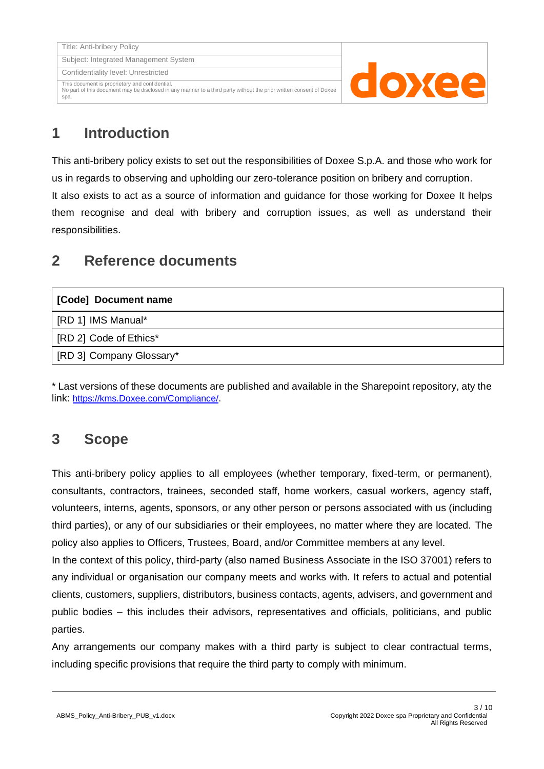

## <span id="page-2-0"></span>**1 Introduction**

This anti-bribery policy exists to set out the responsibilities of Doxee S.p.A. and those who work for us in regards to observing and upholding our zero-tolerance position on bribery and corruption. It also exists to act as a source of information and guidance for those working for Doxee It helps them recognise and deal with bribery and corruption issues, as well as understand their responsibilities.

## <span id="page-2-1"></span>**2 Reference documents**

<span id="page-2-4"></span>

| [Code] Document name     |
|--------------------------|
| [RD 1] IMS Manual*       |
| [RD 2] Code of Ethics*   |
| [RD 3] Company Glossary* |

<span id="page-2-3"></span>\* Last versions of these documents are published and available in the Sharepoint repository, aty the link: [https://kms.Doxee.com/Compliance/.](https://kms.doxee.com/Compliance/)

## <span id="page-2-2"></span>**3 Scope**

This anti-bribery policy applies to all employees (whether temporary, fixed-term, or permanent), consultants, contractors, trainees, seconded staff, home workers, casual workers, agency staff, volunteers, interns, agents, sponsors, or any other person or persons associated with us (including third parties), or any of our subsidiaries or their employees, no matter where they are located. The policy also applies to Officers, Trustees, Board, and/or Committee members at any level.

In the context of this policy, third-party (also named Business Associate in the ISO 37001) refers to any individual or organisation our company meets and works with. It refers to actual and potential clients, customers, suppliers, distributors, business contacts, agents, advisers, and government and public bodies – this includes their advisors, representatives and officials, politicians, and public parties.

Any arrangements our company makes with a third party is subject to clear contractual terms, including specific provisions that require the third party to comply with minimum.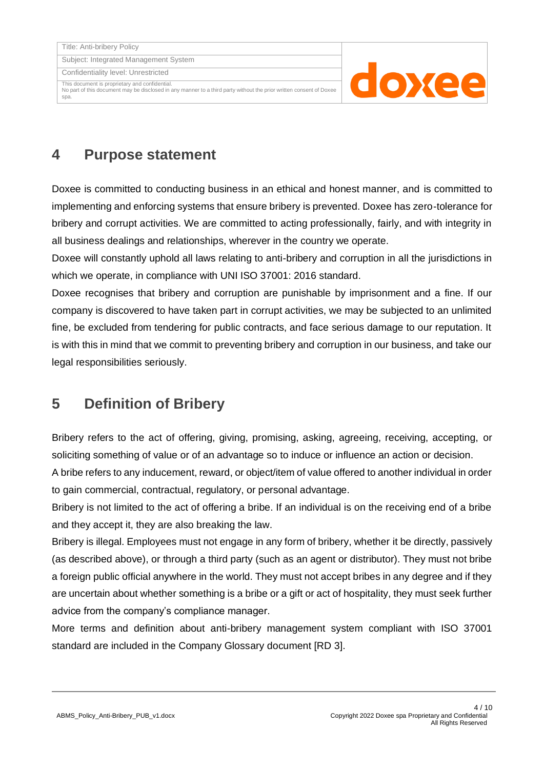Confidentiality level: Unrestricted

This document is proprietary and confidential. No part of this document may be disclosed in any manner to a third party without the prior written consent of Doxee spa.



## <span id="page-3-0"></span>**4 Purpose statement**

Doxee is committed to conducting business in an ethical and honest manner, and is committed to implementing and enforcing systems that ensure bribery is prevented. Doxee has zero-tolerance for bribery and corrupt activities. We are committed to acting professionally, fairly, and with integrity in all business dealings and relationships, wherever in the country we operate.

Doxee will constantly uphold all laws relating to anti-bribery and corruption in all the jurisdictions in which we operate, in compliance with UNI ISO 37001: 2016 standard.

Doxee recognises that bribery and corruption are punishable by imprisonment and a fine. If our company is discovered to have taken part in corrupt activities, we may be subjected to an unlimited fine, be excluded from tendering for public contracts, and face serious damage to our reputation. It is with this in mind that we commit to preventing bribery and corruption in our business, and take our legal responsibilities seriously.

## <span id="page-3-1"></span>**5 Definition of Bribery**

Bribery refers to the act of offering, giving, promising, asking, agreeing, receiving, accepting, or soliciting something of value or of an advantage so to induce or influence an action or decision. A bribe refers to any inducement, reward, or object/item of value offered to another individual in order to gain commercial, contractual, regulatory, or personal advantage.

Bribery is not limited to the act of offering a bribe. If an individual is on the receiving end of a bribe and they accept it, they are also breaking the law.

Bribery is illegal. Employees must not engage in any form of bribery, whether it be directly, passively (as described above), or through a third party (such as an agent or distributor). They must not bribe a foreign public official anywhere in the world. They must not accept bribes in any degree and if they are uncertain about whether something is a bribe or a gift or act of hospitality, they must seek further advice from the company's compliance manager.

More terms and definition about anti-bribery management system compliant with ISO 37001 standard are included in the Company Glossary document [\[RD 3\].](#page-2-3)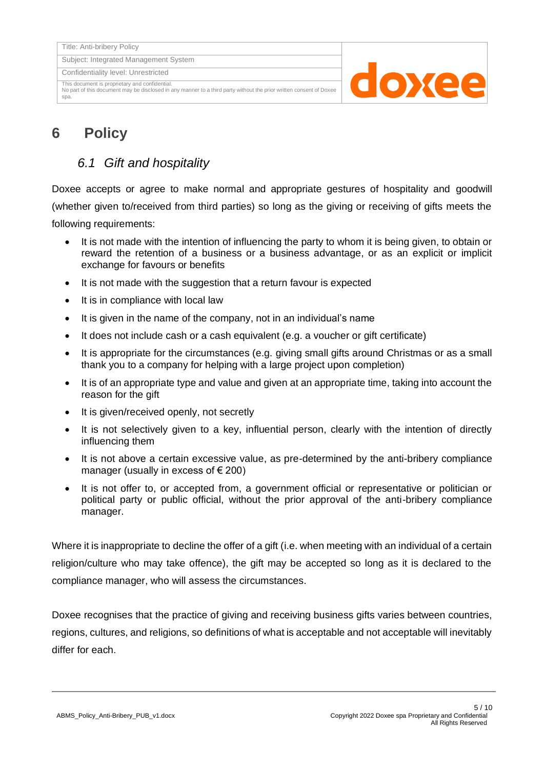Confidentiality level: Unrestricted

This document is proprietary and confidential.

No part of this document may be disclosed in any manner to a third party without the prior written consent of Doxee spa.



## <span id="page-4-1"></span><span id="page-4-0"></span>**6 Policy**

#### *6.1 Gift and hospitality*

Doxee accepts or agree to make normal and appropriate gestures of hospitality and goodwill (whether given to/received from third parties) so long as the giving or receiving of gifts meets the following requirements:

- It is not made with the intention of influencing the party to whom it is being given, to obtain or reward the retention of a business or a business advantage, or as an explicit or implicit exchange for favours or benefits
- It is not made with the suggestion that a return favour is expected
- It is in compliance with local law
- It is given in the name of the company, not in an individual's name
- It does not include cash or a cash equivalent (e.g. a voucher or gift certificate)
- It is appropriate for the circumstances (e.g. giving small gifts around Christmas or as a small thank you to a company for helping with a large project upon completion)
- It is of an appropriate type and value and given at an appropriate time, taking into account the reason for the gift
- It is given/received openly, not secretly
- It is not selectively given to a key, influential person, clearly with the intention of directly influencing them
- It is not above a certain excessive value, as pre-determined by the anti-bribery compliance manager (usually in excess of  $\epsilon$  200)
- It is not offer to, or accepted from, a government official or representative or politician or political party or public official, without the prior approval of the anti-bribery compliance manager.

Where it is inappropriate to decline the offer of a gift (i.e. when meeting with an individual of a certain religion/culture who may take offence), the gift may be accepted so long as it is declared to the compliance manager, who will assess the circumstances.

Doxee recognises that the practice of giving and receiving business gifts varies between countries, regions, cultures, and religions, so definitions of what is acceptable and not acceptable will inevitably differ for each.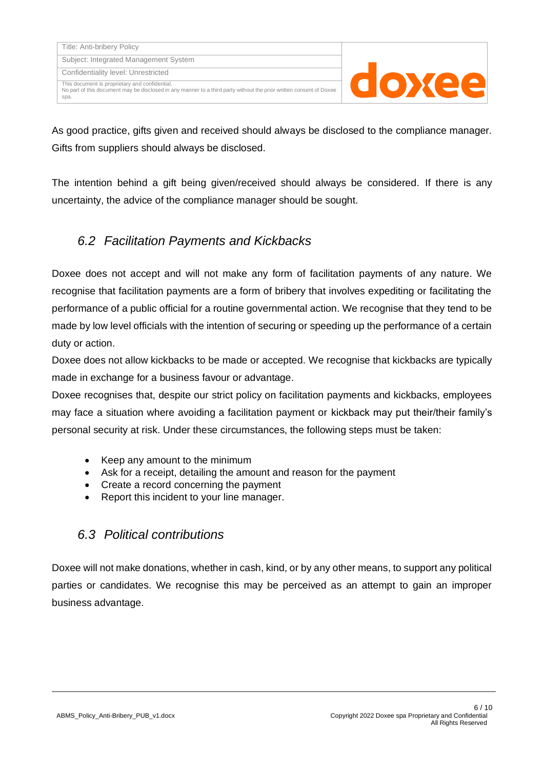| Title: Anti-bribery Policy            |
|---------------------------------------|
| Subject: Integrated Management System |
| Confidentiality level: Unrestricted   |

This document is proprietary and confidential. No part of this document may be disclosed in any manner to a third party without the prior written consent of Doxee

spa.



As good practice, gifts given and received should always be disclosed to the compliance manager. Gifts from suppliers should always be disclosed.

The intention behind a gift being given/received should always be considered. If there is any uncertainty, the advice of the compliance manager should be sought.

#### <span id="page-5-0"></span>*6.2 Facilitation Payments and Kickbacks*

Doxee does not accept and will not make any form of facilitation payments of any nature. We recognise that facilitation payments are a form of bribery that involves expediting or facilitating the performance of a public official for a routine governmental action. We recognise that they tend to be made by low level officials with the intention of securing or speeding up the performance of a certain duty or action.

Doxee does not allow kickbacks to be made or accepted. We recognise that kickbacks are typically made in exchange for a business favour or advantage.

Doxee recognises that, despite our strict policy on facilitation payments and kickbacks, employees may face a situation where avoiding a facilitation payment or kickback may put their/their family's personal security at risk. Under these circumstances, the following steps must be taken:

- Keep any amount to the minimum
- Ask for a receipt, detailing the amount and reason for the payment
- Create a record concerning the payment
- Report this incident to your line manager.

#### <span id="page-5-1"></span>*6.3 Political contributions*

Doxee will not make donations, whether in cash, kind, or by any other means, to support any political parties or candidates. We recognise this may be perceived as an attempt to gain an improper business advantage.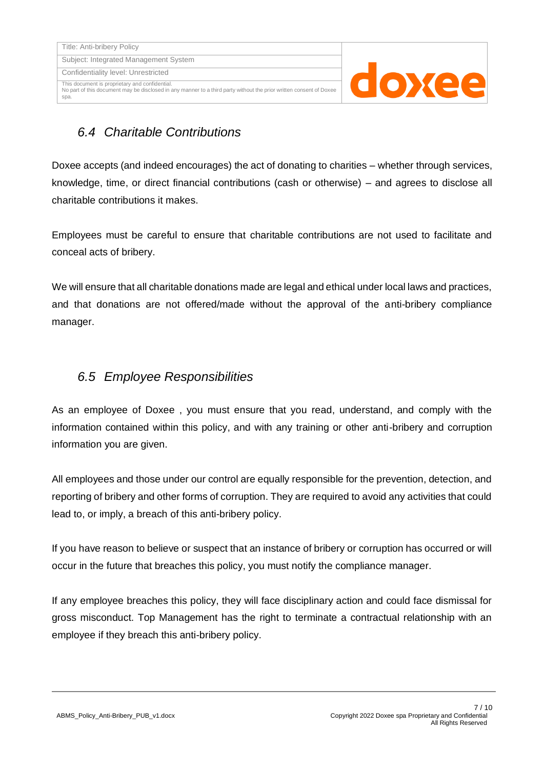No part of this document may be disclosed in any manner to a third party without the prior written consent of Doxee



### <span id="page-6-0"></span>*6.4 Charitable Contributions*

spa.

Doxee accepts (and indeed encourages) the act of donating to charities – whether through services, knowledge, time, or direct financial contributions (cash or otherwise) – and agrees to disclose all charitable contributions it makes.

Employees must be careful to ensure that charitable contributions are not used to facilitate and conceal acts of bribery.

We will ensure that all charitable donations made are legal and ethical under local laws and practices, and that donations are not offered/made without the approval of the anti-bribery compliance manager.

#### <span id="page-6-1"></span>*6.5 Employee Responsibilities*

As an employee of Doxee , you must ensure that you read, understand, and comply with the information contained within this policy, and with any training or other anti-bribery and corruption information you are given.

All employees and those under our control are equally responsible for the prevention, detection, and reporting of bribery and other forms of corruption. They are required to avoid any activities that could lead to, or imply, a breach of this anti-bribery policy.

If you have reason to believe or suspect that an instance of bribery or corruption has occurred or will occur in the future that breaches this policy, you must notify the compliance manager.

If any employee breaches this policy, they will face disciplinary action and could face dismissal for gross misconduct. Top Management has the right to terminate a contractual relationship with an employee if they breach this anti-bribery policy.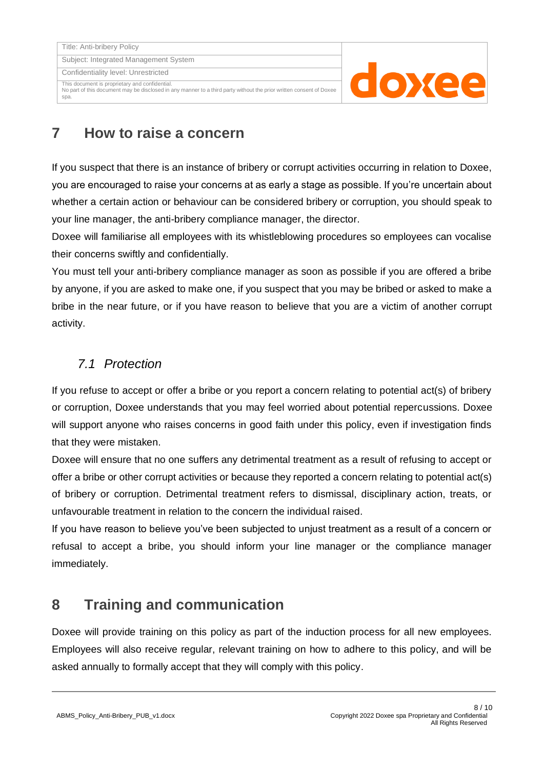Title: Anti-bribery Policy Subject: Integrated Management System

Confidentiality level: Unrestricted

This document is proprietary and confidential.

No part of this document may be disclosed in any manner to a third party without the prior written consent of Doxee spa.



## <span id="page-7-0"></span>**7 How to raise a concern**

If you suspect that there is an instance of bribery or corrupt activities occurring in relation to Doxee, you are encouraged to raise your concerns at as early a stage as possible. If you're uncertain about whether a certain action or behaviour can be considered bribery or corruption, you should speak to your line manager, the anti-bribery compliance manager, the director.

Doxee will familiarise all employees with its whistleblowing procedures so employees can vocalise their concerns swiftly and confidentially.

You must tell your anti-bribery compliance manager as soon as possible if you are offered a bribe by anyone, if you are asked to make one, if you suspect that you may be bribed or asked to make a bribe in the near future, or if you have reason to believe that you are a victim of another corrupt activity.

#### <span id="page-7-1"></span>*7.1 Protection*

If you refuse to accept or offer a bribe or you report a concern relating to potential act(s) of bribery or corruption, Doxee understands that you may feel worried about potential repercussions. Doxee will support anyone who raises concerns in good faith under this policy, even if investigation finds that they were mistaken.

Doxee will ensure that no one suffers any detrimental treatment as a result of refusing to accept or offer a bribe or other corrupt activities or because they reported a concern relating to potential act(s) of bribery or corruption. Detrimental treatment refers to dismissal, disciplinary action, treats, or unfavourable treatment in relation to the concern the individual raised.

If you have reason to believe you've been subjected to unjust treatment as a result of a concern or refusal to accept a bribe, you should inform your line manager or the compliance manager immediately.

## <span id="page-7-2"></span>**8 Training and communication**

Doxee will provide training on this policy as part of the induction process for all new employees. Employees will also receive regular, relevant training on how to adhere to this policy, and will be asked annually to formally accept that they will comply with this policy.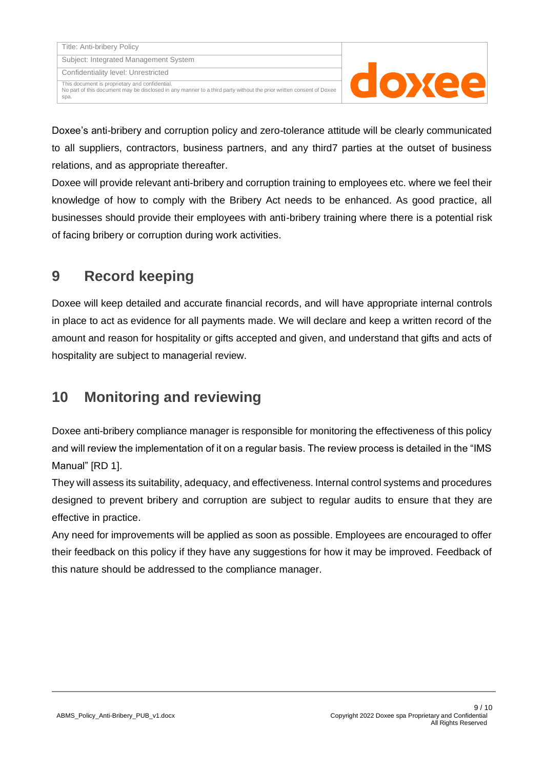doxee

Doxee's anti-bribery and corruption policy and zero-tolerance attitude will be clearly communicated to all suppliers, contractors, business partners, and any third7 parties at the outset of business relations, and as appropriate thereafter.

Doxee will provide relevant anti-bribery and corruption training to employees etc. where we feel their knowledge of how to comply with the Bribery Act needs to be enhanced. As good practice, all businesses should provide their employees with anti-bribery training where there is a potential risk of facing bribery or corruption during work activities.

## <span id="page-8-0"></span>**9 Record keeping**

Doxee will keep detailed and accurate financial records, and will have appropriate internal controls in place to act as evidence for all payments made. We will declare and keep a written record of the amount and reason for hospitality or gifts accepted and given, and understand that gifts and acts of hospitality are subject to managerial review.

## <span id="page-8-1"></span>**10 Monitoring and reviewing**

Doxee anti-bribery compliance manager is responsible for monitoring the effectiveness of this policy and will review the implementation of it on a regular basis. The review process is detailed in the "IMS Manual" [\[RD 1\].](#page-2-4)

They will assess its suitability, adequacy, and effectiveness. Internal control systems and procedures designed to prevent bribery and corruption are subject to regular audits to ensure that they are effective in practice.

Any need for improvements will be applied as soon as possible. Employees are encouraged to offer their feedback on this policy if they have any suggestions for how it may be improved. Feedback of this nature should be addressed to the compliance manager.